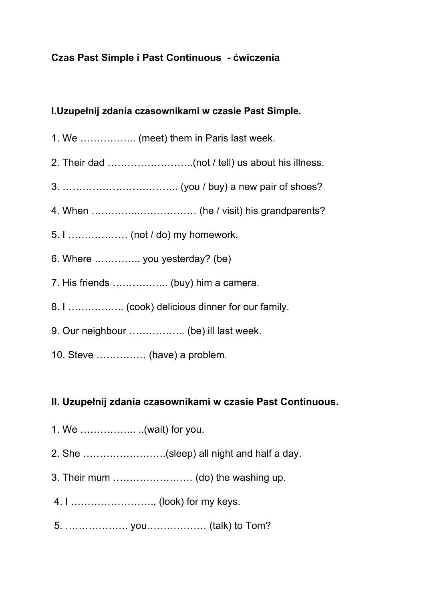## **Czas Past Simple i Past Continuous - ćwiczenia**

### **I.Uzupełnij zdania czasownikami w czasie Past Simple.**

- 1. We …………….. (meet) them in Paris last week.
- 2. Their dad ……………………..(not / tell) us about his illness.
- 3. …………………………….. (you / buy) a new pair of shoes?
- 4. When …………..……………… (he / visit) his grandparents?
- 5. I ……………… (not / do) my homework.
- 6. Where ………….. you yesterday? (be)
- 7. His friends …………….. (buy) him a camera.
- 8. I …………….. (cook) delicious dinner for our family.
- 9. Our neighbour …………….. (be) ill last week.
- 10. Steve …………… (have) a problem.

#### **II. Uzupełnij zdania czasownikami w czasie Past Continuous.**

- 1. We …………….. ..(wait) for you.
- 2. She …………………….(sleep) all night and half a day.
- 3. Their mum …………………… (do) the washing up.
- 4. I …………………….. (look) for my keys.
- 5. ………………. you……………… (talk) to Tom?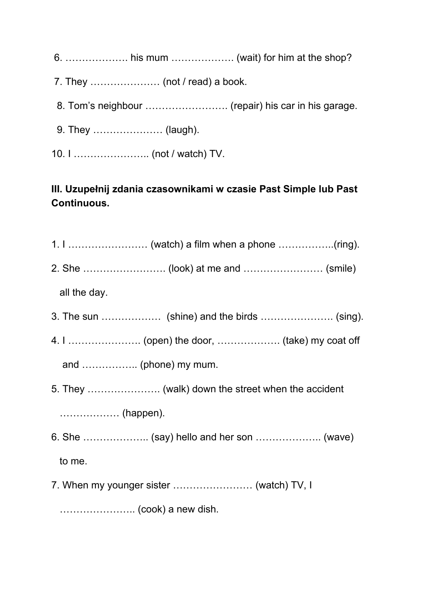- 6. ………………. his mum ………………. (wait) for him at the shop?
- 7. They ………………… (not / read) a book.
- 8. Tom's neighbour ……………………. (repair) his car in his garage.
- 9. They ………………… (laugh).
- 10. I ………………….. (not / watch) TV.

# **III. Uzupełnij zdania czasownikami w czasie Past Simple lub Past Continuous.**

- 1. I …………………… (watch) a film when a phone ……………..(ring).
- 2. She ……………………. (look) at me and …………………… (smile)

all the day.

- 3. The sun ……………… (shine) and the birds …………………. (sing).
- 4. I …………………. (open) the door, ………………. (take) my coat off

and …………….. (phone) my mum.

5. They …………………. (walk) down the street when the accident

……………… (happen).

- 6. She ……………….. (say) hello and her son ……………….. (wave) to me.
- 7. When my younger sister …………………… (watch) TV, I

………………….. (cook) a new dish.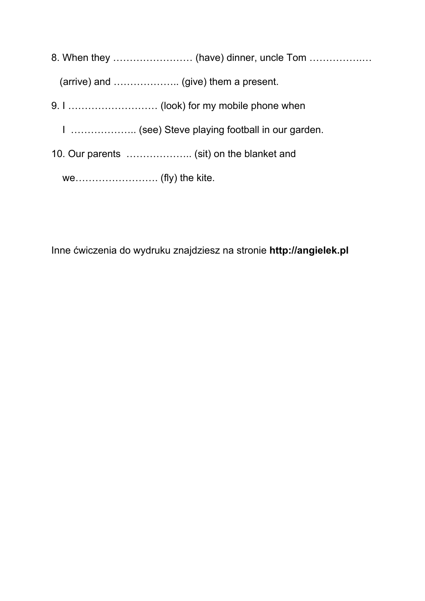8. When they …………………… (have) dinner, uncle Tom …………….…

(arrive) and ……………….. (give) them a present.

9. I ……………………… (look) for my mobile phone when

I ……………….. (see) Steve playing football in our garden.

10. Our parents ....................... (sit) on the blanket and

we……………………. (fly) the kite.

Inne ćwiczenia do wydruku znajdziesz na stronie **http://angielek.pl**